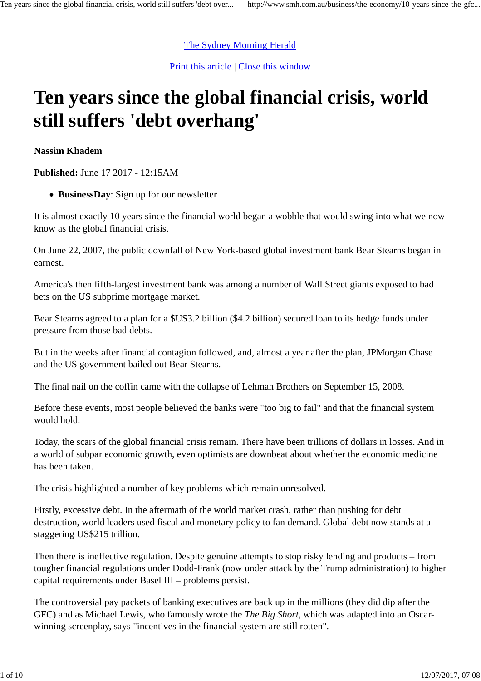# The Sydney Morning Herald

Print this article | Close this window

# **Ten years since the global financial crisis, world still suffers 'debt overhang'**

**Nassim Khadem**

**Published:** June 17 2017 - 12:15AM

**BusinessDay**: Sign up for our newsletter

It is almost exactly 10 years since the financial world began a wobble that would swing into what we now know as the global financial crisis.

On June 22, 2007, the public downfall of New York-based global investment bank Bear Stearns began in earnest.

America's then fifth-largest investment bank was among a number of Wall Street giants exposed to bad bets on the US subprime mortgage market.

Bear Stearns agreed to a plan for a \$US3.2 billion (\$4.2 billion) secured loan to its hedge funds under pressure from those bad debts.

But in the weeks after financial contagion followed, and, almost a year after the plan, JPMorgan Chase and the US government bailed out Bear Stearns.

The final nail on the coffin came with the collapse of Lehman Brothers on September 15, 2008.

Before these events, most people believed the banks were "too big to fail" and that the financial system would hold.

Today, the scars of the global financial crisis remain. There have been trillions of dollars in losses. And in a world of subpar economic growth, even optimists are downbeat about whether the economic medicine has been taken.

The crisis highlighted a number of key problems which remain unresolved.

Firstly, excessive debt. In the aftermath of the world market crash, rather than pushing for debt destruction, world leaders used fiscal and monetary policy to fan demand. Global debt now stands at a staggering US\$215 trillion.

Then there is ineffective regulation. Despite genuine attempts to stop risky lending and products – from tougher financial regulations under Dodd-Frank (now under attack by the Trump administration) to higher capital requirements under Basel III – problems persist.

The controversial pay packets of banking executives are back up in the millions (they did dip after the GFC) and as Michael Lewis, who famously wrote the *The Big Short*, which was adapted into an Oscarwinning screenplay, says "incentives in the financial system are still rotten".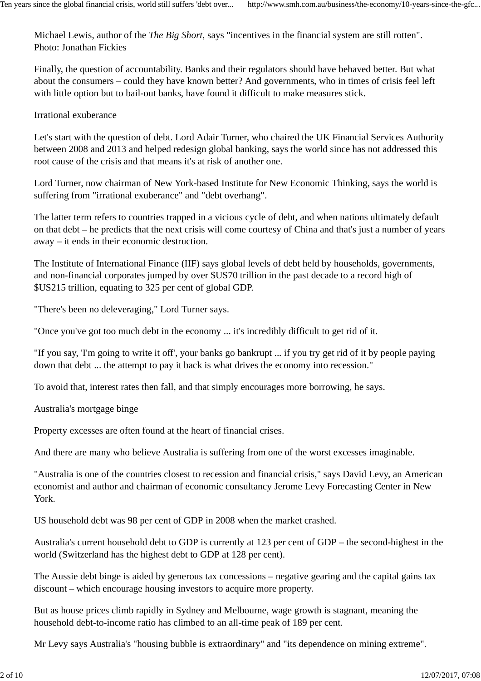Michael Lewis, author of the *The Big Short*, says "incentives in the financial system are still rotten". Photo: Jonathan Fickies

Finally, the question of accountability. Banks and their regulators should have behaved better. But what about the consumers – could they have known better? And governments, who in times of crisis feel left with little option but to bail-out banks, have found it difficult to make measures stick.

Irrational exuberance

Let's start with the question of debt. Lord Adair Turner, who chaired the UK Financial Services Authority between 2008 and 2013 and helped redesign global banking, says the world since has not addressed this root cause of the crisis and that means it's at risk of another one.

Lord Turner, now chairman of New York-based Institute for New Economic Thinking, says the world is suffering from "irrational exuberance" and "debt overhang".

The latter term refers to countries trapped in a vicious cycle of debt, and when nations ultimately default on that debt – he predicts that the next crisis will come courtesy of China and that's just a number of years away – it ends in their economic destruction.

The Institute of International Finance (IIF) says global levels of debt held by households, governments, and non-financial corporates jumped by over \$US70 trillion in the past decade to a record high of \$US215 trillion, equating to 325 per cent of global GDP.

"There's been no deleveraging," Lord Turner says.

"Once you've got too much debt in the economy ... it's incredibly difficult to get rid of it.

"If you say, 'I'm going to write it off', your banks go bankrupt ... if you try get rid of it by people paying down that debt ... the attempt to pay it back is what drives the economy into recession."

To avoid that, interest rates then fall, and that simply encourages more borrowing, he says.

Australia's mortgage binge

Property excesses are often found at the heart of financial crises.

And there are many who believe Australia is suffering from one of the worst excesses imaginable.

"Australia is one of the countries closest to recession and financial crisis," says David Levy, an American economist and author and chairman of economic consultancy Jerome Levy Forecasting Center in New York.

US household debt was 98 per cent of GDP in 2008 when the market crashed.

Australia's current household debt to GDP is currently at 123 per cent of GDP – the second-highest in the world (Switzerland has the highest debt to GDP at 128 per cent).

The Aussie debt binge is aided by generous tax concessions – negative gearing and the capital gains tax discount – which encourage housing investors to acquire more property.

But as house prices climb rapidly in Sydney and Melbourne, wage growth is stagnant, meaning the household debt-to-income ratio has climbed to an all-time peak of 189 per cent.

Mr Levy says Australia's "housing bubble is extraordinary" and "its dependence on mining extreme".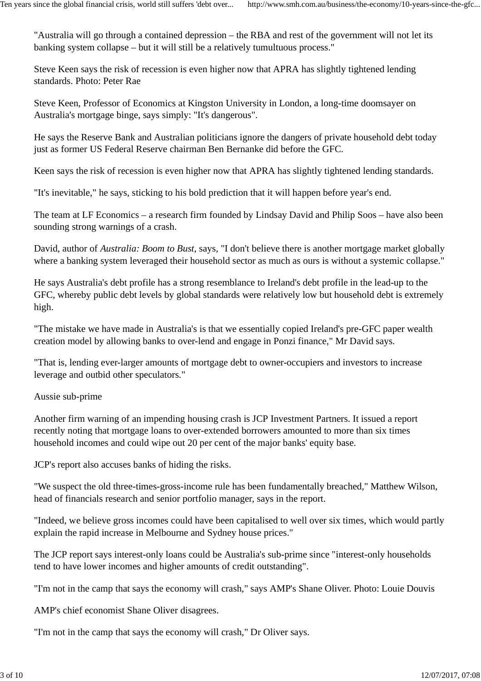"Australia will go through a contained depression – the RBA and rest of the government will not let its banking system collapse – but it will still be a relatively tumultuous process."

Steve Keen says the risk of recession is even higher now that APRA has slightly tightened lending standards. Photo: Peter Rae

Steve Keen, Professor of Economics at Kingston University in London, a long-time doomsayer on Australia's mortgage binge, says simply: "It's dangerous".

He says the Reserve Bank and Australian politicians ignore the dangers of private household debt today just as former US Federal Reserve chairman Ben Bernanke did before the GFC.

Keen says the risk of recession is even higher now that APRA has slightly tightened lending standards.

"It's inevitable," he says, sticking to his bold prediction that it will happen before year's end.

The team at LF Economics – a research firm founded by Lindsay David and Philip Soos – have also been sounding strong warnings of a crash.

David, author of *Australia: Boom to Bust*, says, "I don't believe there is another mortgage market globally where a banking system leveraged their household sector as much as ours is without a systemic collapse."

He says Australia's debt profile has a strong resemblance to Ireland's debt profile in the lead-up to the GFC, whereby public debt levels by global standards were relatively low but household debt is extremely high.

"The mistake we have made in Australia's is that we essentially copied Ireland's pre-GFC paper wealth creation model by allowing banks to over-lend and engage in Ponzi finance," Mr David says.

"That is, lending ever-larger amounts of mortgage debt to owner-occupiers and investors to increase leverage and outbid other speculators."

Aussie sub-prime

Another firm warning of an impending housing crash is JCP Investment Partners. It issued a report recently noting that mortgage loans to over-extended borrowers amounted to more than six times household incomes and could wipe out 20 per cent of the major banks' equity base.

JCP's report also accuses banks of hiding the risks.

"We suspect the old three-times-gross-income rule has been fundamentally breached," Matthew Wilson, head of financials research and senior portfolio manager, says in the report.

"Indeed, we believe gross incomes could have been capitalised to well over six times, which would partly explain the rapid increase in Melbourne and Sydney house prices."

The JCP report says interest-only loans could be Australia's sub-prime since "interest-only households tend to have lower incomes and higher amounts of credit outstanding".

"I'm not in the camp that says the economy will crash," says AMP's Shane Oliver. Photo: Louie Douvis

AMP's chief economist Shane Oliver disagrees.

"I'm not in the camp that says the economy will crash," Dr Oliver says.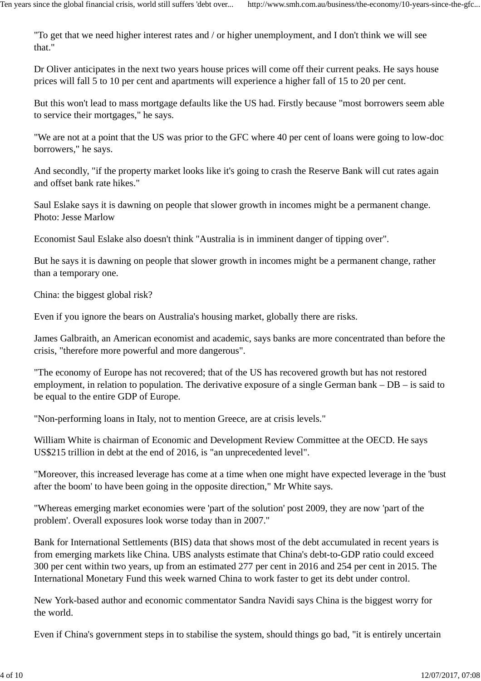"To get that we need higher interest rates and / or higher unemployment, and I don't think we will see that."

Dr Oliver anticipates in the next two years house prices will come off their current peaks. He says house prices will fall 5 to 10 per cent and apartments will experience a higher fall of 15 to 20 per cent.

But this won't lead to mass mortgage defaults like the US had. Firstly because "most borrowers seem able to service their mortgages," he says.

"We are not at a point that the US was prior to the GFC where 40 per cent of loans were going to low-doc borrowers," he says.

And secondly, "if the property market looks like it's going to crash the Reserve Bank will cut rates again and offset bank rate hikes."

Saul Eslake says it is dawning on people that slower growth in incomes might be a permanent change. Photo: Jesse Marlow

Economist Saul Eslake also doesn't think "Australia is in imminent danger of tipping over".

But he says it is dawning on people that slower growth in incomes might be a permanent change, rather than a temporary one.

China: the biggest global risk?

Even if you ignore the bears on Australia's housing market, globally there are risks.

James Galbraith, an American economist and academic, says banks are more concentrated than before the crisis, "therefore more powerful and more dangerous".

"The economy of Europe has not recovered; that of the US has recovered growth but has not restored employment, in relation to population. The derivative exposure of a single German bank – DB – is said to be equal to the entire GDP of Europe.

"Non-performing loans in Italy, not to mention Greece, are at crisis levels."

William White is chairman of Economic and Development Review Committee at the OECD. He says US\$215 trillion in debt at the end of 2016, is "an unprecedented level".

"Moreover, this increased leverage has come at a time when one might have expected leverage in the 'bust after the boom' to have been going in the opposite direction," Mr White says.

"Whereas emerging market economies were 'part of the solution' post 2009, they are now 'part of the problem'. Overall exposures look worse today than in 2007."

Bank for International Settlements (BIS) data that shows most of the debt accumulated in recent years is from emerging markets like China. UBS analysts estimate that China's debt-to-GDP ratio could exceed 300 per cent within two years, up from an estimated 277 per cent in 2016 and 254 per cent in 2015. The International Monetary Fund this week warned China to work faster to get its debt under control.

New York-based author and economic commentator Sandra Navidi says China is the biggest worry for the world.

Even if China's government steps in to stabilise the system, should things go bad, "it is entirely uncertain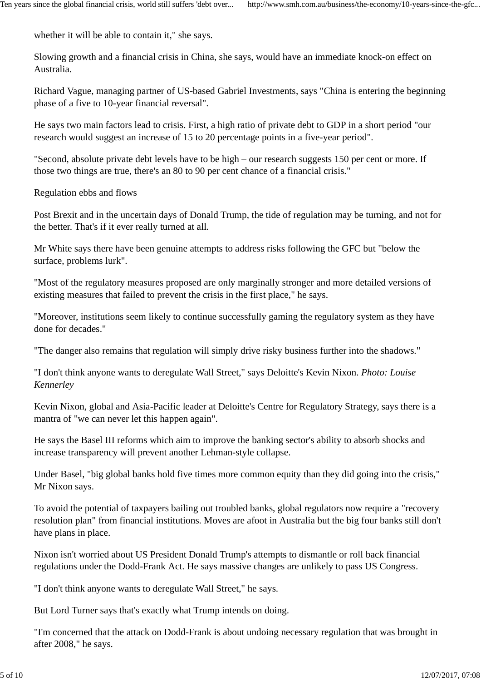whether it will be able to contain it," she says.

Slowing growth and a financial crisis in China, she says, would have an immediate knock-on effect on Australia.

Richard Vague, managing partner of US-based Gabriel Investments, says "China is entering the beginning phase of a five to 10-year financial reversal".

He says two main factors lead to crisis. First, a high ratio of private debt to GDP in a short period "our research would suggest an increase of 15 to 20 percentage points in a five-year period".

"Second, absolute private debt levels have to be high – our research suggests 150 per cent or more. If those two things are true, there's an 80 to 90 per cent chance of a financial crisis."

Regulation ebbs and flows

Post Brexit and in the uncertain days of Donald Trump, the tide of regulation may be turning, and not for the better. That's if it ever really turned at all.

Mr White says there have been genuine attempts to address risks following the GFC but "below the surface, problems lurk".

"Most of the regulatory measures proposed are only marginally stronger and more detailed versions of existing measures that failed to prevent the crisis in the first place," he says.

"Moreover, institutions seem likely to continue successfully gaming the regulatory system as they have done for decades."

"The danger also remains that regulation will simply drive risky business further into the shadows."

"I don't think anyone wants to deregulate Wall Street," says Deloitte's Kevin Nixon. *Photo: Louise Kennerley*

Kevin Nixon, global and Asia-Pacific leader at Deloitte's Centre for Regulatory Strategy, says there is a mantra of "we can never let this happen again".

He says the Basel III reforms which aim to improve the banking sector's ability to absorb shocks and increase transparency will prevent another Lehman-style collapse.

Under Basel, "big global banks hold five times more common equity than they did going into the crisis," Mr Nixon says.

To avoid the potential of taxpayers bailing out troubled banks, global regulators now require a "recovery resolution plan" from financial institutions. Moves are afoot in Australia but the big four banks still don't have plans in place.

Nixon isn't worried about US President Donald Trump's attempts to dismantle or roll back financial regulations under the Dodd-Frank Act. He says massive changes are unlikely to pass US Congress.

"I don't think anyone wants to deregulate Wall Street," he says.

But Lord Turner says that's exactly what Trump intends on doing.

"I'm concerned that the attack on Dodd-Frank is about undoing necessary regulation that was brought in after 2008," he says.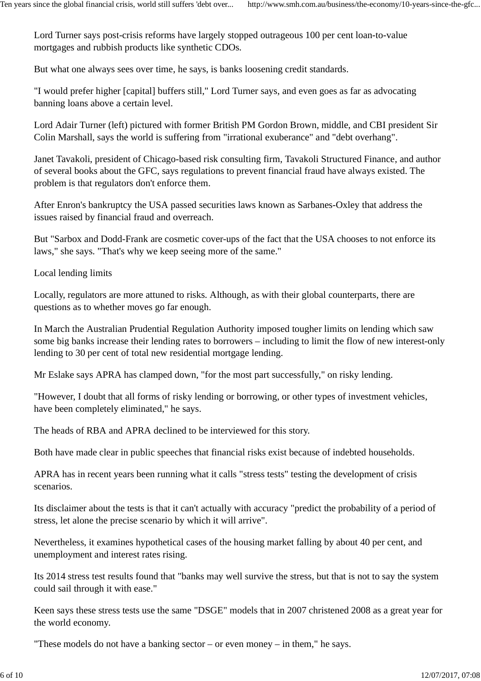Lord Turner says post-crisis reforms have largely stopped outrageous 100 per cent loan-to-value mortgages and rubbish products like synthetic CDOs.

But what one always sees over time, he says, is banks loosening credit standards.

"I would prefer higher [capital] buffers still," Lord Turner says, and even goes as far as advocating banning loans above a certain level.

Lord Adair Turner (left) pictured with former British PM Gordon Brown, middle, and CBI president Sir Colin Marshall, says the world is suffering from "irrational exuberance" and "debt overhang".

Janet Tavakoli, president of Chicago-based risk consulting firm, Tavakoli Structured Finance, and author of several books about the GFC, says regulations to prevent financial fraud have always existed. The problem is that regulators don't enforce them.

After Enron's bankruptcy the USA passed securities laws known as Sarbanes-Oxley that address the issues raised by financial fraud and overreach.

But "Sarbox and Dodd-Frank are cosmetic cover-ups of the fact that the USA chooses to not enforce its laws," she says. "That's why we keep seeing more of the same."

Local lending limits

Locally, regulators are more attuned to risks. Although, as with their global counterparts, there are questions as to whether moves go far enough.

In March the Australian Prudential Regulation Authority imposed tougher limits on lending which saw some big banks increase their lending rates to borrowers – including to limit the flow of new interest-only lending to 30 per cent of total new residential mortgage lending.

Mr Eslake says APRA has clamped down, "for the most part successfully," on risky lending.

"However, I doubt that all forms of risky lending or borrowing, or other types of investment vehicles, have been completely eliminated," he says.

The heads of RBA and APRA declined to be interviewed for this story.

Both have made clear in public speeches that financial risks exist because of indebted households.

APRA has in recent years been running what it calls "stress tests" testing the development of crisis scenarios.

Its disclaimer about the tests is that it can't actually with accuracy "predict the probability of a period of stress, let alone the precise scenario by which it will arrive".

Nevertheless, it examines hypothetical cases of the housing market falling by about 40 per cent, and unemployment and interest rates rising.

Its 2014 stress test results found that "banks may well survive the stress, but that is not to say the system could sail through it with ease."

Keen says these stress tests use the same "DSGE" models that in 2007 christened 2008 as a great year for the world economy.

"These models do not have a banking sector – or even money – in them," he says.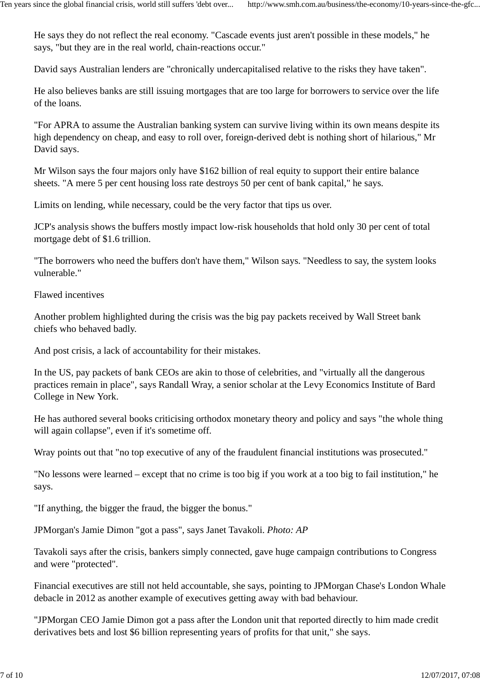He says they do not reflect the real economy. "Cascade events just aren't possible in these models," he says, "but they are in the real world, chain-reactions occur."

David says Australian lenders are "chronically undercapitalised relative to the risks they have taken".

He also believes banks are still issuing mortgages that are too large for borrowers to service over the life of the loans.

"For APRA to assume the Australian banking system can survive living within its own means despite its high dependency on cheap, and easy to roll over, foreign-derived debt is nothing short of hilarious," Mr David says.

Mr Wilson says the four majors only have \$162 billion of real equity to support their entire balance sheets. "A mere 5 per cent housing loss rate destroys 50 per cent of bank capital," he says.

Limits on lending, while necessary, could be the very factor that tips us over.

JCP's analysis shows the buffers mostly impact low-risk households that hold only 30 per cent of total mortgage debt of \$1.6 trillion.

"The borrowers who need the buffers don't have them," Wilson says. "Needless to say, the system looks vulnerable."

Flawed incentives

Another problem highlighted during the crisis was the big pay packets received by Wall Street bank chiefs who behaved badly.

And post crisis, a lack of accountability for their mistakes.

In the US, pay packets of bank CEOs are akin to those of celebrities, and "virtually all the dangerous practices remain in place", says Randall Wray, a senior scholar at the Levy Economics Institute of Bard College in New York.

He has authored several books criticising orthodox monetary theory and policy and says "the whole thing will again collapse", even if it's sometime off.

Wray points out that "no top executive of any of the fraudulent financial institutions was prosecuted."

"No lessons were learned – except that no crime is too big if you work at a too big to fail institution," he says.

"If anything, the bigger the fraud, the bigger the bonus."

JPMorgan's Jamie Dimon "got a pass", says Janet Tavakoli. *Photo: AP*

Tavakoli says after the crisis, bankers simply connected, gave huge campaign contributions to Congress and were "protected".

Financial executives are still not held accountable, she says, pointing to JPMorgan Chase's London Whale debacle in 2012 as another example of executives getting away with bad behaviour.

"JPMorgan CEO Jamie Dimon got a pass after the London unit that reported directly to him made credit derivatives bets and lost \$6 billion representing years of profits for that unit," she says.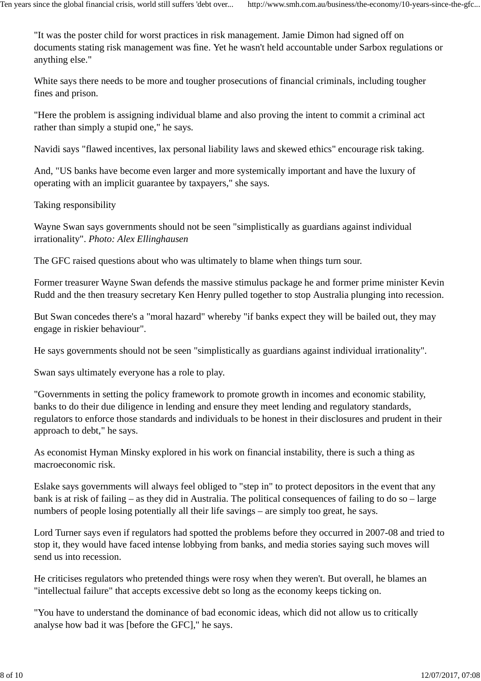"It was the poster child for worst practices in risk management. Jamie Dimon had signed off on documents stating risk management was fine. Yet he wasn't held accountable under Sarbox regulations or anything else."

White says there needs to be more and tougher prosecutions of financial criminals, including tougher fines and prison.

"Here the problem is assigning individual blame and also proving the intent to commit a criminal act rather than simply a stupid one," he says.

Navidi says "flawed incentives, lax personal liability laws and skewed ethics" encourage risk taking.

And, "US banks have become even larger and more systemically important and have the luxury of operating with an implicit guarantee by taxpayers," she says.

Taking responsibility

Wayne Swan says governments should not be seen "simplistically as guardians against individual irrationality". *Photo: Alex Ellinghausen*

The GFC raised questions about who was ultimately to blame when things turn sour.

Former treasurer Wayne Swan defends the massive stimulus package he and former prime minister Kevin Rudd and the then treasury secretary Ken Henry pulled together to stop Australia plunging into recession.

But Swan concedes there's a "moral hazard" whereby "if banks expect they will be bailed out, they may engage in riskier behaviour".

He says governments should not be seen "simplistically as guardians against individual irrationality".

Swan says ultimately everyone has a role to play.

"Governments in setting the policy framework to promote growth in incomes and economic stability, banks to do their due diligence in lending and ensure they meet lending and regulatory standards, regulators to enforce those standards and individuals to be honest in their disclosures and prudent in their approach to debt," he says.

As economist Hyman Minsky explored in his work on financial instability, there is such a thing as macroeconomic risk.

Eslake says governments will always feel obliged to "step in" to protect depositors in the event that any bank is at risk of failing – as they did in Australia. The political consequences of failing to do so – large numbers of people losing potentially all their life savings – are simply too great, he says.

Lord Turner says even if regulators had spotted the problems before they occurred in 2007-08 and tried to stop it, they would have faced intense lobbying from banks, and media stories saying such moves will send us into recession.

He criticises regulators who pretended things were rosy when they weren't. But overall, he blames an "intellectual failure" that accepts excessive debt so long as the economy keeps ticking on.

"You have to understand the dominance of bad economic ideas, which did not allow us to critically analyse how bad it was [before the GFC]," he says.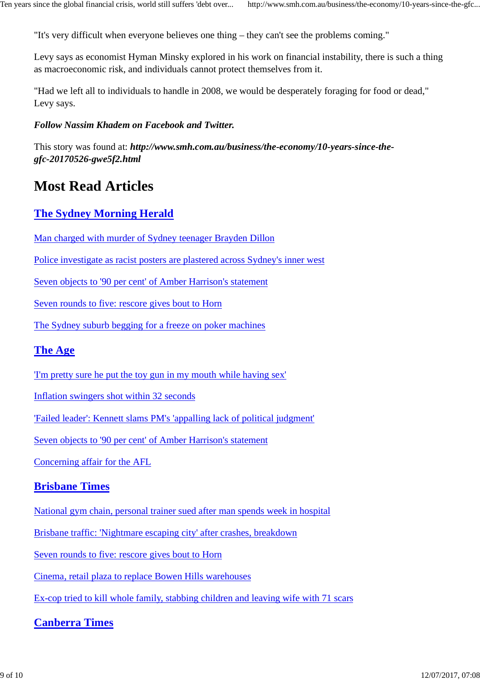"It's very difficult when everyone believes one thing – they can't see the problems coming."

Levy says as economist Hyman Minsky explored in his work on financial instability, there is such a thing as macroeconomic risk, and individuals cannot protect themselves from it.

"Had we left all to individuals to handle in 2008, we would be desperately foraging for food or dead," Levy says.

#### *Follow Nassim Khadem on Facebook and Twitter.*

This story was found at: *http://www.smh.com.au/business/the-economy/10-years-since-thegfc-20170526-gwe5f2.html*

# **Most Read Articles**

# **The Sydney Morning Herald**

Man charged with murder of Sydney teenager Brayden Dillon

Police investigate as racist posters are plastered across Sydney's inner west

Seven objects to '90 per cent' of Amber Harrison's statement

Seven rounds to five: rescore gives bout to Horn

The Sydney suburb begging for a freeze on poker machines

### **The Age**

'I'm pretty sure he put the toy gun in my mouth while having sex'

Inflation swingers shot within 32 seconds

'Failed leader': Kennett slams PM's 'appalling lack of political judgment'

Seven objects to '90 per cent' of Amber Harrison's statement

Concerning affair for the AFL

### **Brisbane Times**

National gym chain, personal trainer sued after man spends week in hospital

Brisbane traffic: 'Nightmare escaping city' after crashes, breakdown

Seven rounds to five: rescore gives bout to Horn

Cinema, retail plaza to replace Bowen Hills warehouses

Ex-cop tried to kill whole family, stabbing children and leaving wife with 71 scars

### **Canberra Times**